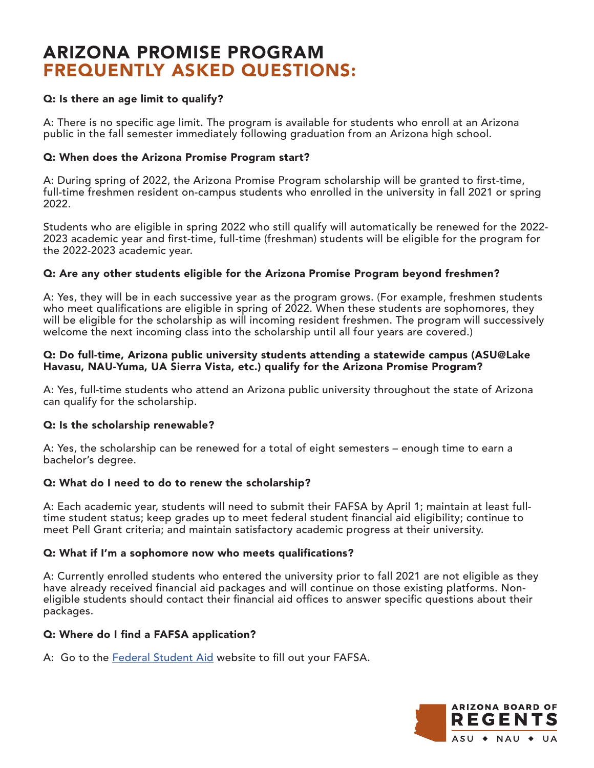# ARIZONA PROMISE PROGRAM FREQUENTLY ASKED QUESTIONS:

# Q: Is there an age limit to qualify?

A: There is no specific age limit. The program is available for students who enroll at an Arizona public in the fall semester immediately following graduation from an Arizona high school.

## Q: When does the Arizona Promise Program start?

A: During spring of 2022, the Arizona Promise Program scholarship will be granted to first-time, full-time freshmen resident on-campus students who enrolled in the university in fall 2021 or spring 2022.

Students who are eligible in spring 2022 who still qualify will automatically be renewed for the 2022- 2023 academic year and first-time, full-time (freshman) students will be eligible for the program for the 2022-2023 academic year.

## Q: Are any other students eligible for the Arizona Promise Program beyond freshmen?

A: Yes, they will be in each successive year as the program grows. (For example, freshmen students who meet qualifications are eligible in spring of 2022. When these students are sophomores, they will be eligible for the scholarship as will incoming resident freshmen. The program will successively welcome the next incoming class into the scholarship until all four years are covered.)

#### Q: Do full-time, Arizona public university students attending a statewide campus (ASU@Lake Havasu, NAU-Yuma, UA Sierra Vista, etc.) qualify for the Arizona Promise Program?

A: Yes, full-time students who attend an Arizona public university throughout the state of Arizona can qualify for the scholarship.

## Q: Is the scholarship renewable?

A: Yes, the scholarship can be renewed for a total of eight semesters – enough time to earn a bachelor's degree.

# Q: What do I need to do to renew the scholarship?

A: Each academic year, students will need to submit their FAFSA by April 1; maintain at least fulltime student status; keep grades up to meet federal student financial aid eligibility; continue to meet Pell Grant criteria; and maintain satisfactory academic progress at their university.

## Q: What if I'm a sophomore now who meets qualifications?

A: Currently enrolled students who entered the university prior to fall 2021 are not eligible as they have already received financial aid packages and will continue on those existing platforms. Noneligible students should contact their financial aid offices to answer specific questions about their packages.

## Q: Where do I find a FAFSA application?

A: Go to the [Federal Student Aid w](https://studentaid.gov/h/apply-for-aid/fafsa)ebsite to fill out your FAFSA.